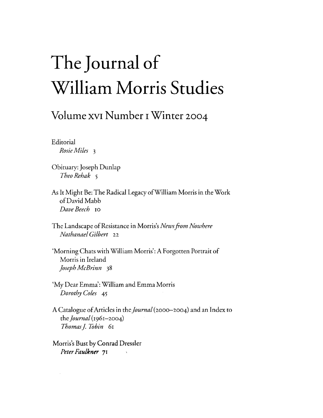## The Journal **of William Morris Studies**

## **Volume XVI Number I Winter 2004**

Editorial *Rosie Miles* 3

- Obituary: Joseph Dunlap *TheoRehak 5*
- As It Might Be: The Radical Legacy ofWilliam Morris in the Work ofDavid Mabb *Dave Beech* IQ
- The Landscape of Resistance in Morris's *News from Nowhere Nathanael Gilbert* 22
- 'Morning Chats with William Morris': A Forgotten Portrait of Morris in Ireland *Joseph McBrinn* 38
- 'My Dear Emma': William and Emma Morris *Dorothy Coles 45*
- A Catalogue of Articles in the *Journal* (2000-2004) and an Index to the *Journal* (I96I-2004) *Thomas J. Tobin* 61

Morris's Bust by Conrad Dressier *Peter Faulkner* **71** 

 $\mathcal{A}^{\mathcal{A}}$